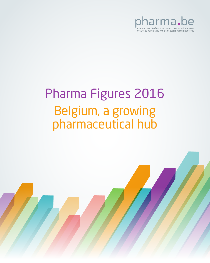

# Pharma Figures 2016 Belgium, a growing pharmaceutical hub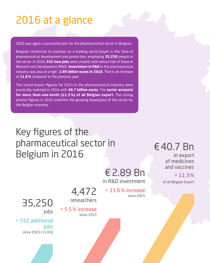# 2016 at a glance

2016 was again a successful year for the pharmaceutical sector in Belgium.

Belgium reinforced its position as a leading world player in the field of pharmaceutical development and production, employing **35,250** people in the sector. In 2016, **552 new jobs** were created, with almost half of these in Research and Development (R&D). **Investment in R&D** in the pharmaceutical industry was also at a high: **2.89 billion euros in 2016**. That is an increase of **11.6%** compared to the previous year.

The record export figures for 2015 in the pharmaceutical industry were practically matched in 2016 with **40.7 billion euros**. The **sector accounts for more than one-tenth (11.3 %) of all Belgian export**. The strong pharma figures in 2016 underline the growing importance of the sector for the Belgian economy.

## Key figures of the pharmaceutical sector in Belgium in 2016

€2.89 Bn in R&D investment

= 11.6% increase

since 2015

€40.7 Bn

in export of medicines and vaccines

 $= 11.3%$ of all Belgian Export

4,472 researchers

since 2015

= 5.5% increase

35,250 jobs

= 552 additional jobs since 2015 (+1.6%)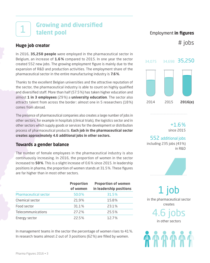#### **Growing and diversified talent pool** 1

#### **Huge job creator**

In 2016, **35,250 people** were employed in the pharmaceutical sector in Belgium, an increase of **1.6 %** compared to 2015. In one year the sector created 552 new jobs. The growing employment figure is mainly due to the expansion of R&D and production activities. The employment share of the pharmaceutical sector in the entire manufacturing industry is **7.6%**.

Thanks to the excellent Belgian universities and the attractive reputation of the sector, the pharmaceutical industry is able to count on highly qualified and diversified staff. More than half (57.5%) has taken higher education and almost **1 in 3 employees** (29%) a **university education**. The sector also attracts talent from across the border: almost one in 5 researchers (18%) comes from abroad.

The presence of pharmaceutical companies also creates a large number of jobs in other sectors, for example in hospitals (clinical trials), the logistics sector and in other sectors which supply goods or services for the development or distribution process of pharmaceutical products. **Each job in the pharmaceutical sector creates approximately 4.6 additional jobs in other sectors.**

#### **Towards a gender balance**

The number of female employees in the pharmaceutical industry is also continuously increasing. In 2016, the proportion of women in the sector increased to **50%**. This is a slight increase of 0.6% since 2015. In leadership positions in pharma, the proportion of women stands at 31.5%. These figures are far higher than in most other sectors.

|                              | <b>Proportion</b><br>of women | <b>Proportion of women</b><br>in leadership positions |
|------------------------------|-------------------------------|-------------------------------------------------------|
| <b>Pharmaceutical sector</b> | 50.0%                         | 31.5%                                                 |
| Chemical sector              | 21.9%                         | 15.8%                                                 |
| Food sector                  | 31.1%                         | 23.1 %                                                |
| Telecommunications           | 27.2%                         | 25.5%                                                 |
| Energy sector                | 22.5%                         | 12.7%                                                 |

In management teams in the sector the percentage of women rises to 41%. In research teams almost 2 out of 3 positions (62%) are filled by women.

#### Employment **in figures**

# jobs



+1.6% since 2015

552 additional jobs

including 235 jobs (43%) in R&D



1 job in the pharmaceutical sector creates 4.6 jobs

in other sectors

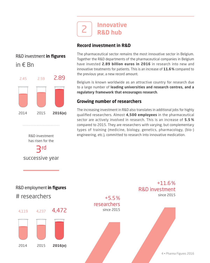

#### **Record investment in R&D**

### R&D investment **in figures**  in € Bn



R&D investment has risen for the

3rd

successive year

The pharmaceutical sector remains the most innovative sector in Belgium. Together the R&D departments of the pharmaceutical companies in Belgium have invested **2.89 billion euros in 2016** in research into new and innovative treatments for patients. This is an increase of **11.6%** compared to the previous year, a new record amount.

Belgium is known worldwide as an attractive country for research due to a large number of **leading universities and research centres, and a regulatory framework that encourages research**.

#### **Growing number of researchers**

The increasing investment in R&D also translates in additional jobs for highly qualified researchers. Almost **4,500 employees** in the pharmaceutical sector are actively involved in research. This is an increase of **5.5 %** compared to 2015. They are researchers with varying, but complementary types of training (medicine, biology, genetics, pharmacology, (bio-) engineering, etc.), committed to research into innovative medication.

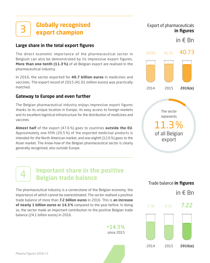#### **Globally recognised export champion**  3

#### **Large share in the total export figures**

The direct economic importance of the pharmaceutical sector in Belgium can also be demonstrated by its impressive export figures. **More than one-tenth (11.3 %)** of all Belgian export are realised in the pharmaceutical industry.

In 2016, the sector exported for **40.7 billion euros** in medicines and vaccines. The export record of 2015 (41.01 million euros) was practically matched.

#### **Gateway to Europe and even further**

The Belgian pharmaceutical industry enjoys impressive export figures thanks to its unique location in Europe, its easy access to foreign markets and its excellent logistical infrastructure for the distribution of medicines and vaccines.

**Almost half** of the export (47.6 %) goes to countries **outside the EU**. Approximately one-fifth (20.5 %) of the exported medicinal products is intended for the North American market, and one-eighth (12.6%) goes to the Asian market. The know-how of the Belgian pharmaceutical sector is clearly generally recognised, also outside Europe.



Export of pharmaceuticals

**in figures**

in € Bn

The sector<br>represents<br>11.3%<br>of all Belgian<br>export The sector represents 11.3% of all Belgian export

Trade balance **in figures**

### **Important share in the positive Belgian trade balance**

The pharmaceutical industry is a cornerstone of the Belgian economy, the importance of which cannot be overestimated. The sector realised a positive trade balance of more than **7.2 billion euros** in 2016. This is **an increase of nearly 1 billion euros or 14.3%** compared to the year before. In doing so, the sector made an important contribution to the positive Belgian trade balance (24.1 billion euros) in 2016.

> $+14.3%$ since 2015



4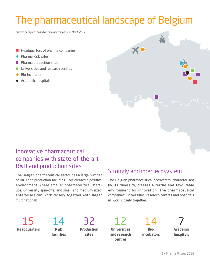# The pharmaceutical landscape of Belgium

pharma.be figures based on member companies – March 2017

- **Headquarters of pharma companies**
- Pharma R&D sites
- **Pharma production sites**
- **Universities and research centres**
- Bio-incubators
- Academic hospitals

## Innovative pharmaceutical companies with state-of-the-art R&D and production sites

The Belgian pharmaceutical sector has a large number of R&D and production facilities. This creates a positive environment where smaller pharmaceutical startups, university spin-offs, and small and medium-sized enterprises can work closely together with larger multinationals.

## Strongly anchored ecosystem

 $\boldsymbol{\times}$  0

The Belgian pharmaceutical ecosystem, characterised by its diversity, creates a fertile and favourable environment for innovation. The pharmaceutical companies, universities, research centres and hospitals all work closely together.

15 **Headquarters**

14 **R&D facilities**

32 **Production sites** 

12 **Universities and research centres** 

14 **Bioincubators**

**Academic hospitals**

7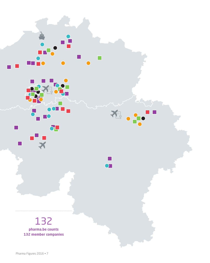132 **pharma.be counts 132 member companies**

 $\frac{1}{\sqrt{2}}$ 

 $\overline{\phantom{a}}$ 

m.

 $\bullet$ 

 $\mathbf{\Sigma}$   $\mathbf{\Gamma}$ 

 $\sigma$ 

 $\bigodot$ 

F.  $\bullet$ 

**EE PO**